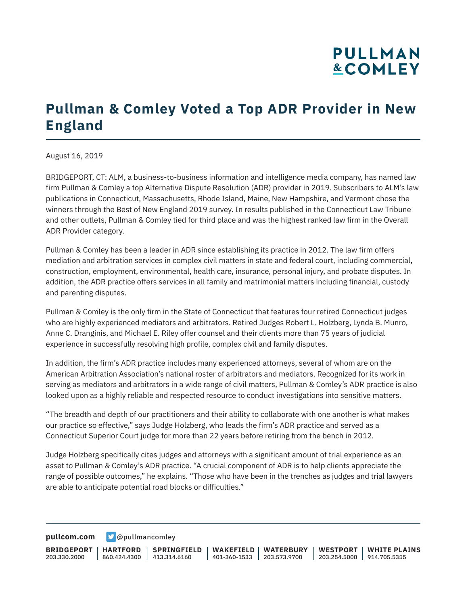# **PULLMAN &COMLEY**

## **Pullman & Comley Voted a Top ADR Provider in New England**

August 16, 2019

BRIDGEPORT, CT: ALM, a business-to-business information and intelligence media company, has named law firm Pullman & Comley a top Alternative Dispute Resolution (ADR) provider in 2019. Subscribers to ALM's law publications in Connecticut, Massachusetts, Rhode Island, Maine, New Hampshire, and Vermont chose the winners through the Best of New England 2019 survey. In results published in the Connecticut Law Tribune and other outlets, Pullman & Comley tied for third place and was the highest ranked law firm in the Overall ADR Provider category.

Pullman & Comley has been a leader in ADR since establishing its practice in 2012. The law firm offers mediation and arbitration services in complex civil matters in state and federal court, including commercial, construction, employment, environmental, health care, insurance, personal injury, and probate disputes. In addition, the ADR practice offers services in all family and matrimonial matters including financial, custody and parenting disputes.

Pullman & Comley is the only firm in the State of Connecticut that features four retired Connecticut judges who are highly experienced mediators and arbitrators. Retired Judges Robert L. Holzberg, Lynda B. Munro, Anne C. Dranginis, and Michael E. Riley offer counsel and their clients more than 75 years of judicial experience in successfully resolving high profile, complex civil and family disputes.

In addition, the firm's ADR practice includes many experienced attorneys, several of whom are on the American Arbitration Association's national roster of arbitrators and mediators. Recognized for its work in serving as mediators and arbitrators in a wide range of civil matters, Pullman & Comley's ADR practice is also looked upon as a highly reliable and respected resource to conduct investigations into sensitive matters.

"The breadth and depth of our practitioners and their ability to collaborate with one another is what makes our practice so effective," says Judge Holzberg, who leads the firm's ADR practice and served as a Connecticut Superior Court judge for more than 22 years before retiring from the bench in 2012.

Judge Holzberg specifically cites judges and attorneys with a significant amount of trial experience as an asset to Pullman & Comley's ADR practice. "A crucial component of ADR is to help clients appreciate the range of possible outcomes," he explains. "Those who have been in the trenches as judges and trial lawyers are able to anticipate potential road blocks or difficulties."

**[pullcom.com](https://www.pullcom.com) g** [@pullmancomley](https://twitter.com/PullmanComley)